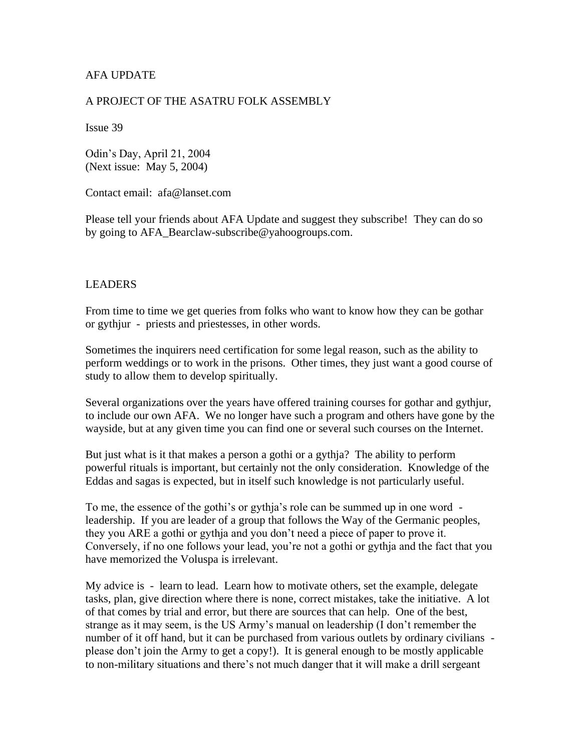## AFA UPDATE

#### A PROJECT OF THE ASATRU FOLK ASSEMBLY

Issue 39

Odin's Day, April 21, 2004 (Next issue: May 5, 2004)

Contact email: afa@lanset.com

Please tell your friends about AFA Update and suggest they subscribe! They can do so by going to AFA\_Bearclaw-subscribe@yahoogroups.com.

#### LEADERS

From time to time we get queries from folks who want to know how they can be gothar or gythjur - priests and priestesses, in other words.

Sometimes the inquirers need certification for some legal reason, such as the ability to perform weddings or to work in the prisons. Other times, they just want a good course of study to allow them to develop spiritually.

Several organizations over the years have offered training courses for gothar and gythjur, to include our own AFA. We no longer have such a program and others have gone by the wayside, but at any given time you can find one or several such courses on the Internet.

But just what is it that makes a person a gothi or a gythja? The ability to perform powerful rituals is important, but certainly not the only consideration. Knowledge of the Eddas and sagas is expected, but in itself such knowledge is not particularly useful.

To me, the essence of the gothi's or gythja's role can be summed up in one word leadership. If you are leader of a group that follows the Way of the Germanic peoples, they you ARE a gothi or gythja and you don't need a piece of paper to prove it. Conversely, if no one follows your lead, you're not a gothi or gythja and the fact that you have memorized the Voluspa is irrelevant.

My advice is - learn to lead. Learn how to motivate others, set the example, delegate tasks, plan, give direction where there is none, correct mistakes, take the initiative. A lot of that comes by trial and error, but there are sources that can help. One of the best, strange as it may seem, is the US Army's manual on leadership (I don't remember the number of it off hand, but it can be purchased from various outlets by ordinary civilians please don't join the Army to get a copy!). It is general enough to be mostly applicable to non-military situations and there's not much danger that it will make a drill sergeant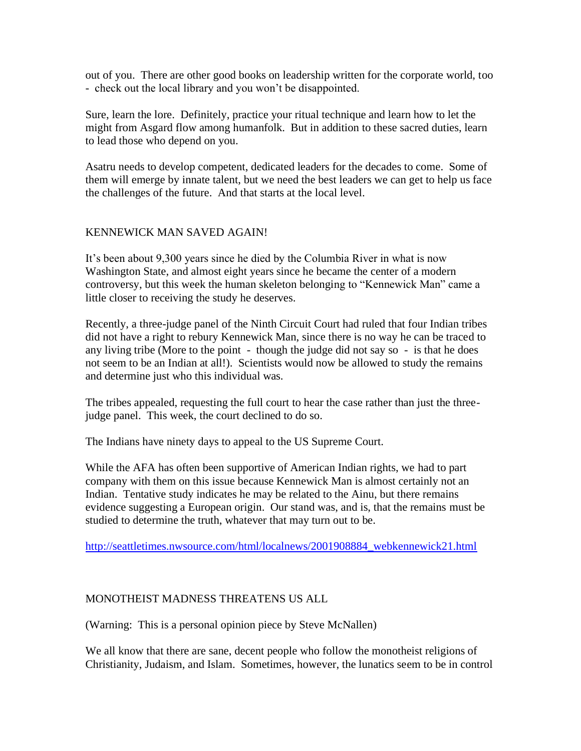out of you. There are other good books on leadership written for the corporate world, too - check out the local library and you won't be disappointed.

Sure, learn the lore. Definitely, practice your ritual technique and learn how to let the might from Asgard flow among humanfolk. But in addition to these sacred duties, learn to lead those who depend on you.

Asatru needs to develop competent, dedicated leaders for the decades to come. Some of them will emerge by innate talent, but we need the best leaders we can get to help us face the challenges of the future. And that starts at the local level.

### KENNEWICK MAN SAVED AGAIN!

It's been about 9,300 years since he died by the Columbia River in what is now Washington State, and almost eight years since he became the center of a modern controversy, but this week the human skeleton belonging to "Kennewick Man" came a little closer to receiving the study he deserves.

Recently, a three-judge panel of the Ninth Circuit Court had ruled that four Indian tribes did not have a right to rebury Kennewick Man, since there is no way he can be traced to any living tribe (More to the point - though the judge did not say so - is that he does not seem to be an Indian at all!). Scientists would now be allowed to study the remains and determine just who this individual was.

The tribes appealed, requesting the full court to hear the case rather than just the threejudge panel. This week, the court declined to do so.

The Indians have ninety days to appeal to the US Supreme Court.

While the AFA has often been supportive of American Indian rights, we had to part company with them on this issue because Kennewick Man is almost certainly not an Indian. Tentative study indicates he may be related to the Ainu, but there remains evidence suggesting a European origin. Our stand was, and is, that the remains must be studied to determine the truth, whatever that may turn out to be.

[http://seattletimes.nwsource.com/html/localnews/2001908884\\_webkennewick21.html](http://seattletimes.nwsource.com/html/localnews/2001908884_webkennewick21.html)

### MONOTHEIST MADNESS THREATENS US ALL

(Warning: This is a personal opinion piece by Steve McNallen)

We all know that there are sane, decent people who follow the monotheist religions of Christianity, Judaism, and Islam. Sometimes, however, the lunatics seem to be in control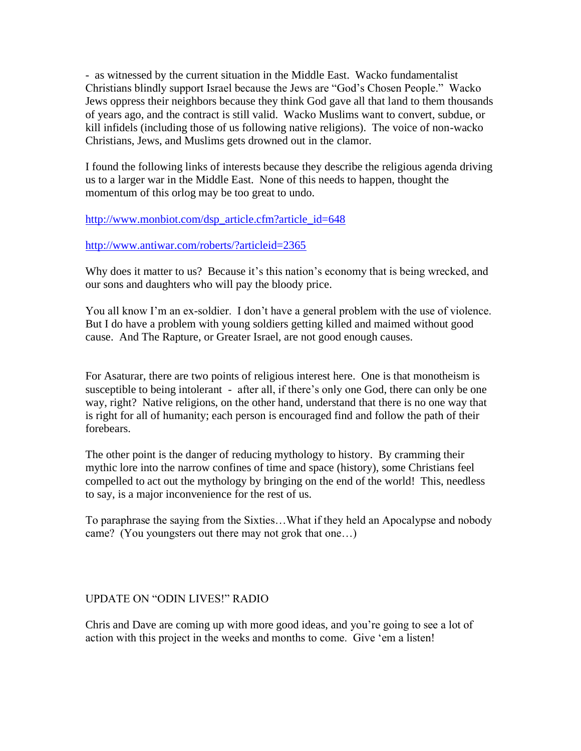- as witnessed by the current situation in the Middle East. Wacko fundamentalist Christians blindly support Israel because the Jews are "God's Chosen People." Wacko Jews oppress their neighbors because they think God gave all that land to them thousands of years ago, and the contract is still valid. Wacko Muslims want to convert, subdue, or kill infidels (including those of us following native religions). The voice of non-wacko Christians, Jews, and Muslims gets drowned out in the clamor.

I found the following links of interests because they describe the religious agenda driving us to a larger war in the Middle East. None of this needs to happen, thought the momentum of this orlog may be too great to undo.

### [http://www.monbiot.com/dsp\\_article.cfm?article\\_id=648](http://www.monbiot.com/dsp_article.cfm?article_id=648)

### <http://www.antiwar.com/roberts/?articleid=2365>

Why does it matter to us? Because it's this nation's economy that is being wrecked, and our sons and daughters who will pay the bloody price.

You all know I'm an ex-soldier. I don't have a general problem with the use of violence. But I do have a problem with young soldiers getting killed and maimed without good cause. And The Rapture, or Greater Israel, are not good enough causes.

For Asaturar, there are two points of religious interest here. One is that monotheism is susceptible to being intolerant - after all, if there's only one God, there can only be one way, right? Native religions, on the other hand, understand that there is no one way that is right for all of humanity; each person is encouraged find and follow the path of their forebears.

The other point is the danger of reducing mythology to history. By cramming their mythic lore into the narrow confines of time and space (history), some Christians feel compelled to act out the mythology by bringing on the end of the world! This, needless to say, is a major inconvenience for the rest of us.

To paraphrase the saying from the Sixties…What if they held an Apocalypse and nobody came? (You youngsters out there may not grok that one…)

### UPDATE ON "ODIN LIVES!" RADIO

Chris and Dave are coming up with more good ideas, and you're going to see a lot of action with this project in the weeks and months to come. Give 'em a listen!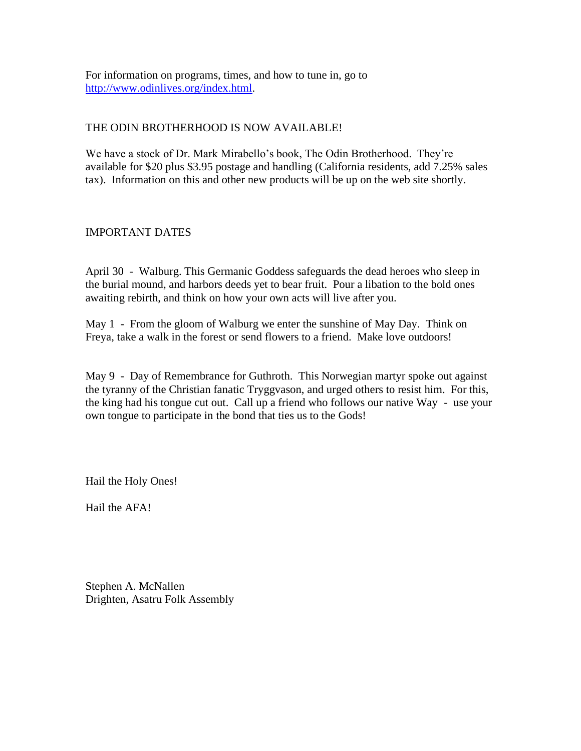For information on programs, times, and how to tune in, go to [http://www.odinlives.org/index.html.](http://www.odinlives.org/index.html)

# THE ODIN BROTHERHOOD IS NOW AVAILABLE!

We have a stock of Dr. Mark Mirabello's book, The Odin Brotherhood. They're available for \$20 plus \$3.95 postage and handling (California residents, add 7.25% sales tax). Information on this and other new products will be up on the web site shortly.

# IMPORTANT DATES

April 30 - Walburg. This Germanic Goddess safeguards the dead heroes who sleep in the burial mound, and harbors deeds yet to bear fruit. Pour a libation to the bold ones awaiting rebirth, and think on how your own acts will live after you.

May 1 - From the gloom of Walburg we enter the sunshine of May Day. Think on Freya, take a walk in the forest or send flowers to a friend. Make love outdoors!

May 9 - Day of Remembrance for Guthroth. This Norwegian martyr spoke out against the tyranny of the Christian fanatic Tryggvason, and urged others to resist him. For this, the king had his tongue cut out. Call up a friend who follows our native Way - use your own tongue to participate in the bond that ties us to the Gods!

Hail the Holy Ones!

Hail the AFA!

Stephen A. McNallen Drighten, Asatru Folk Assembly